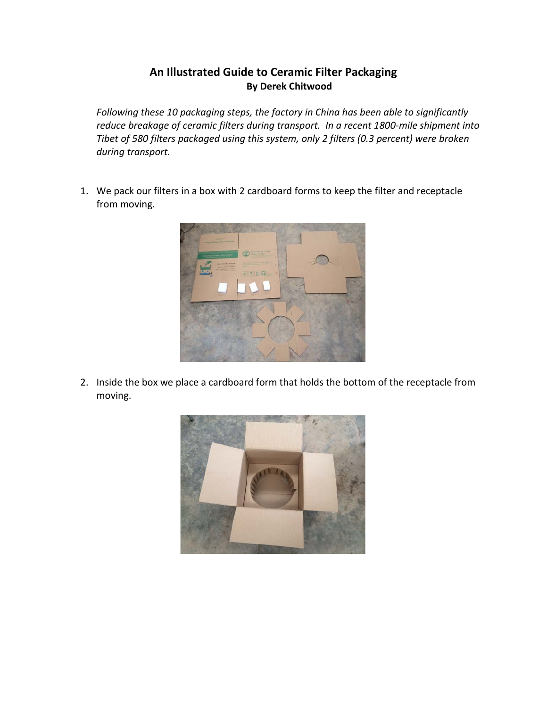## **An Illustrated Guide to Ceramic Filter Packaging By Derek Chitwood**

*Following these 10 packaging steps, the factory in China has been able to significantly reduce breakage of ceramic filters during transport. In a recent 1800-mile shipment into Tibet of 580 filters packaged using this system, only 2 filters (0.3 percent) were broken during transport.* 

1. We pack our filters in a box with 2 cardboard forms to keep the filter and receptacle from moving.



2. Inside the box we place a cardboard form that holds the bottom of the receptacle from moving.

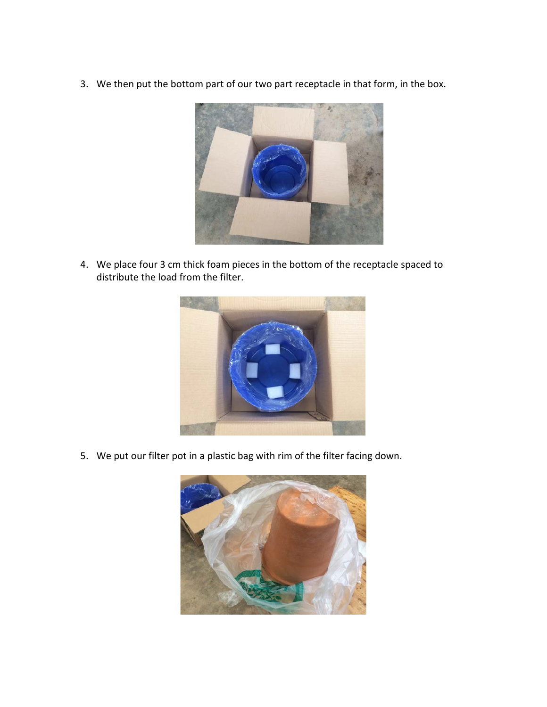3. We then put the bottom part of our two part receptacle in that form, in the box.



4. We place four 3 cm thick foam pieces in the bottom of the receptacle spaced to distribute the load from the filter.



5. We put our filter pot in a plastic bag with rim of the filter facing down.

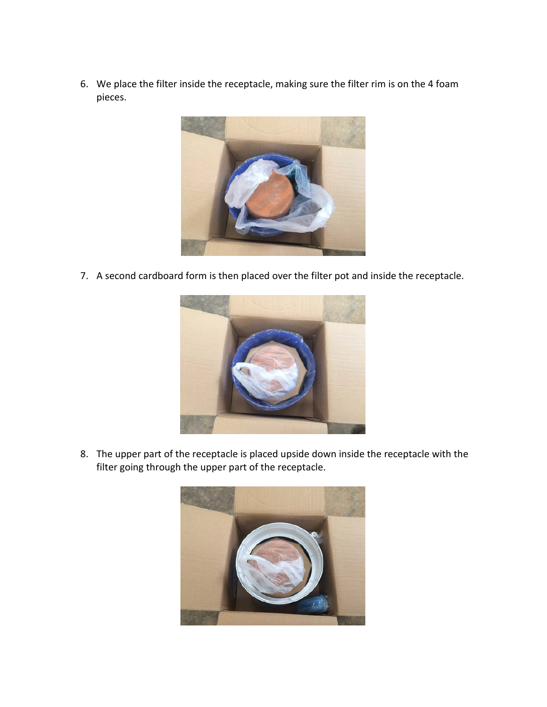6. We place the filter inside the receptacle, making sure the filter rim is on the 4 foam pieces.



7. A second cardboard form is then placed over the filter pot and inside the receptacle.



8. The upper part of the receptacle is placed upside down inside the receptacle with the filter going through the upper part of the receptacle.